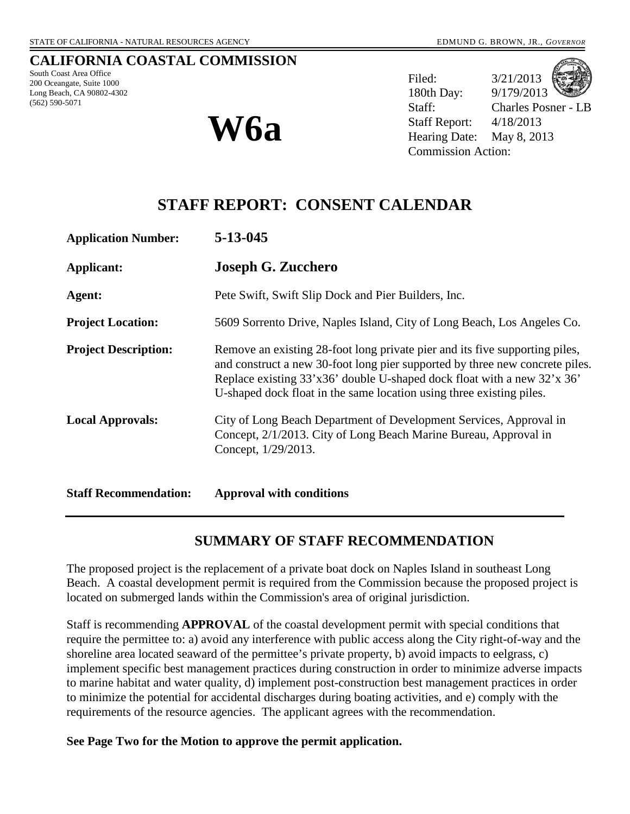## **CALIFORNIA COASTAL COMMISSION**

South Coast Area Office 200 Oceangate, Suite 1000 Long Beach, CA 90802-4302 (562) 590-5071



Filed:  $3/21/2013$ 180th Day: 9/179/2013 Staff: Charles Posner - LB Staff Report: 4/18/2013 **W6a** Staff Report: 4/18/2013<br>
Hearing Date: May 8, 2013 Commission Action:

# **STAFF REPORT: CONSENT CALENDAR**

| <b>Application Number:</b>   | $5 - 13 - 045$                                                                                                                                                                                                                                                                                                 |
|------------------------------|----------------------------------------------------------------------------------------------------------------------------------------------------------------------------------------------------------------------------------------------------------------------------------------------------------------|
| Applicant:                   | <b>Joseph G. Zucchero</b>                                                                                                                                                                                                                                                                                      |
| Agent:                       | Pete Swift, Swift Slip Dock and Pier Builders, Inc.                                                                                                                                                                                                                                                            |
| <b>Project Location:</b>     | 5609 Sorrento Drive, Naples Island, City of Long Beach, Los Angeles Co.                                                                                                                                                                                                                                        |
| <b>Project Description:</b>  | Remove an existing 28-foot long private pier and its five supporting piles,<br>and construct a new 30-foot long pier supported by three new concrete piles.<br>Replace existing 33'x36' double U-shaped dock float with a new 32'x 36'<br>U-shaped dock float in the same location using three existing piles. |
| <b>Local Approvals:</b>      | City of Long Beach Department of Development Services, Approval in<br>Concept, 2/1/2013. City of Long Beach Marine Bureau, Approval in<br>Concept, 1/29/2013.                                                                                                                                                  |
| <b>Staff Recommendation:</b> | <b>Approval with conditions</b>                                                                                                                                                                                                                                                                                |

# **SUMMARY OF STAFF RECOMMENDATION**

The proposed project is the replacement of a private boat dock on Naples Island in southeast Long Beach. A coastal development permit is required from the Commission because the proposed project is located on submerged lands within the Commission's area of original jurisdiction.

Staff is recommending **APPROVAL** of the coastal development permit with special conditions that require the permittee to: a) avoid any interference with public access along the City right-of-way and the shoreline area located seaward of the permittee's private property, b) avoid impacts to eelgrass, c) implement specific best management practices during construction in order to minimize adverse impacts to marine habitat and water quality, d) implement post-construction best management practices in order to minimize the potential for accidental discharges during boating activities, and e) comply with the requirements of the resource agencies. The applicant agrees with the recommendation.

**See Page Two for the Motion to approve the permit application.**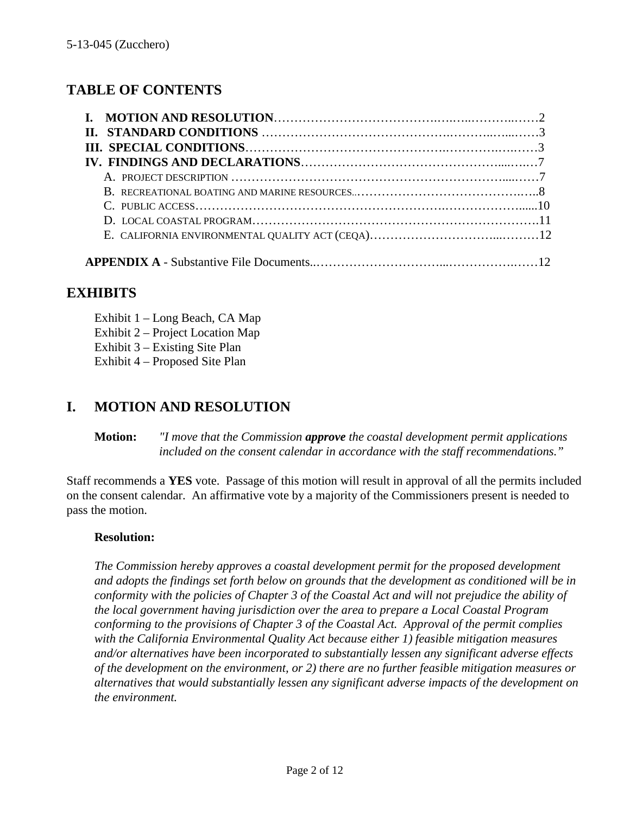# **TABLE OF CONTENTS**

# **EXHIBITS**

Exhibit 1 – Long Beach, CA Map Exhibit 2 – Project Location Map Exhibit 3 – Existing Site Plan Exhibit 4 – Proposed Site Plan

# **I. MOTION AND RESOLUTION**

**Motion:** *"I move that the Commission approve the coastal development permit applications included on the consent calendar in accordance with the staff recommendations."*

Staff recommends a **YES** vote. Passage of this motion will result in approval of all the permits included on the consent calendar. An affirmative vote by a majority of the Commissioners present is needed to pass the motion.

## **Resolution:**

*The Commission hereby approves a coastal development permit for the proposed development and adopts the findings set forth below on grounds that the development as conditioned will be in conformity with the policies of Chapter 3 of the Coastal Act and will not prejudice the ability of the local government having jurisdiction over the area to prepare a Local Coastal Program conforming to the provisions of Chapter 3 of the Coastal Act. Approval of the permit complies with the California Environmental Quality Act because either 1) feasible mitigation measures and/or alternatives have been incorporated to substantially lessen any significant adverse effects of the development on the environment, or 2) there are no further feasible mitigation measures or alternatives that would substantially lessen any significant adverse impacts of the development on the environment.*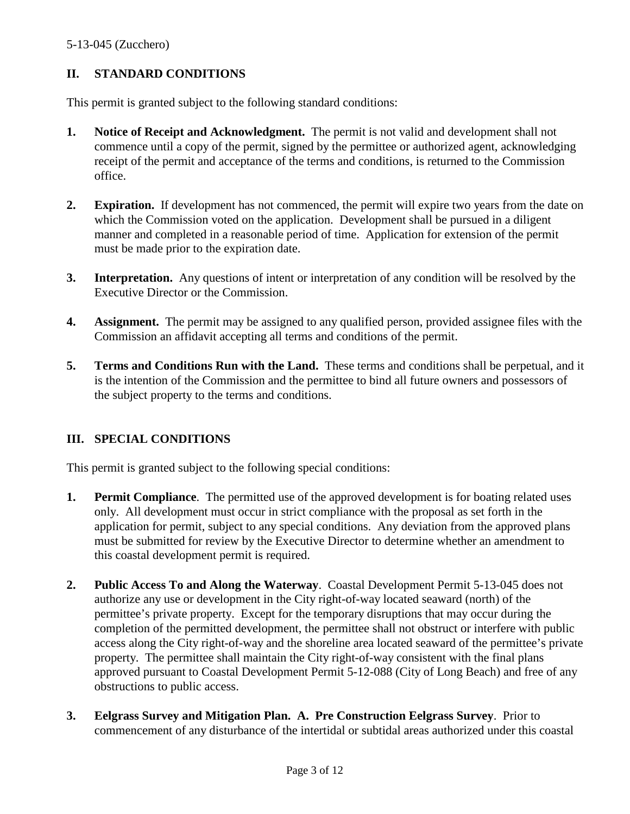# **II. STANDARD CONDITIONS**

This permit is granted subject to the following standard conditions:

- **1. Notice of Receipt and Acknowledgment.** The permit is not valid and development shall not commence until a copy of the permit, signed by the permittee or authorized agent, acknowledging receipt of the permit and acceptance of the terms and conditions, is returned to the Commission office.
- **2. Expiration.** If development has not commenced, the permit will expire two years from the date on which the Commission voted on the application. Development shall be pursued in a diligent manner and completed in a reasonable period of time. Application for extension of the permit must be made prior to the expiration date.
- **3. Interpretation.** Any questions of intent or interpretation of any condition will be resolved by the Executive Director or the Commission.
- **4. Assignment.** The permit may be assigned to any qualified person, provided assignee files with the Commission an affidavit accepting all terms and conditions of the permit.
- **5. Terms and Conditions Run with the Land.** These terms and conditions shall be perpetual, and it is the intention of the Commission and the permittee to bind all future owners and possessors of the subject property to the terms and conditions.

# **III. SPECIAL CONDITIONS**

This permit is granted subject to the following special conditions:

- **1. Permit Compliance**. The permitted use of the approved development is for boating related uses only. All development must occur in strict compliance with the proposal as set forth in the application for permit, subject to any special conditions. Any deviation from the approved plans must be submitted for review by the Executive Director to determine whether an amendment to this coastal development permit is required.
- **2. Public Access To and Along the Waterway**. Coastal Development Permit 5-13-045 does not authorize any use or development in the City right-of-way located seaward (north) of the permittee's private property. Except for the temporary disruptions that may occur during the completion of the permitted development, the permittee shall not obstruct or interfere with public access along the City right-of-way and the shoreline area located seaward of the permittee's private property. The permittee shall maintain the City right-of-way consistent with the final plans approved pursuant to Coastal Development Permit 5-12-088 (City of Long Beach) and free of any obstructions to public access.
- **3. Eelgrass Survey and Mitigation Plan. A. Pre Construction Eelgrass Survey**. Prior to commencement of any disturbance of the intertidal or subtidal areas authorized under this coastal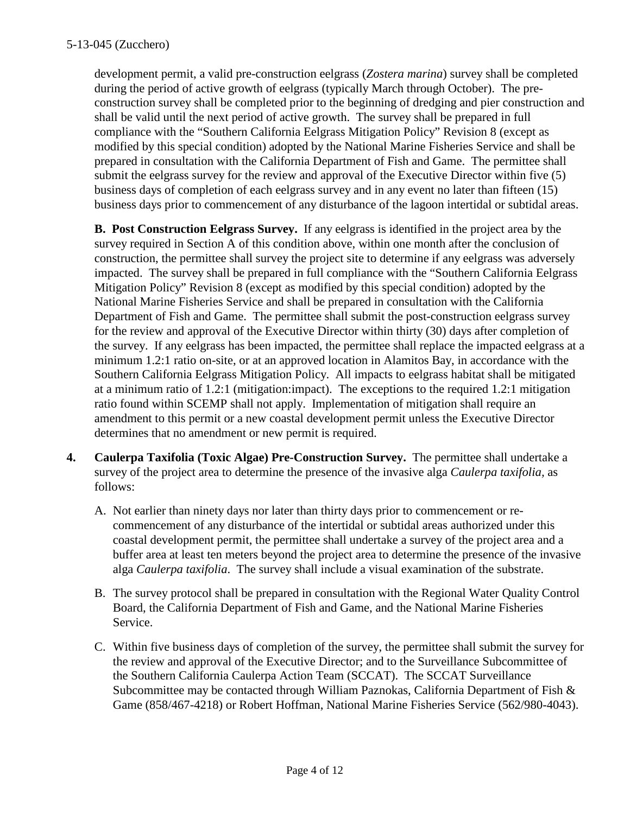development permit, a valid pre-construction eelgrass (*Zostera marina*) survey shall be completed during the period of active growth of eelgrass (typically March through October). The preconstruction survey shall be completed prior to the beginning of dredging and pier construction and shall be valid until the next period of active growth. The survey shall be prepared in full compliance with the "Southern California Eelgrass Mitigation Policy" Revision 8 (except as modified by this special condition) adopted by the National Marine Fisheries Service and shall be prepared in consultation with the California Department of Fish and Game. The permittee shall submit the eelgrass survey for the review and approval of the Executive Director within five (5) business days of completion of each eelgrass survey and in any event no later than fifteen (15) business days prior to commencement of any disturbance of the lagoon intertidal or subtidal areas.

**B. Post Construction Eelgrass Survey.** If any eelgrass is identified in the project area by the survey required in Section A of this condition above, within one month after the conclusion of construction, the permittee shall survey the project site to determine if any eelgrass was adversely impacted. The survey shall be prepared in full compliance with the "Southern California Eelgrass Mitigation Policy" Revision 8 (except as modified by this special condition) adopted by the National Marine Fisheries Service and shall be prepared in consultation with the California Department of Fish and Game. The permittee shall submit the post-construction eelgrass survey for the review and approval of the Executive Director within thirty (30) days after completion of the survey. If any eelgrass has been impacted, the permittee shall replace the impacted eelgrass at a minimum 1.2:1 ratio on-site, or at an approved location in Alamitos Bay, in accordance with the Southern California Eelgrass Mitigation Policy. All impacts to eelgrass habitat shall be mitigated at a minimum ratio of 1.2:1 (mitigation:impact). The exceptions to the required 1.2:1 mitigation ratio found within SCEMP shall not apply. Implementation of mitigation shall require an amendment to this permit or a new coastal development permit unless the Executive Director determines that no amendment or new permit is required.

- **4. Caulerpa Taxifolia (Toxic Algae) Pre-Construction Survey.** The permittee shall undertake a survey of the project area to determine the presence of the invasive alga *Caulerpa taxifolia,* as follows:
	- A. Not earlier than ninety days nor later than thirty days prior to commencement or recommencement of any disturbance of the intertidal or subtidal areas authorized under this coastal development permit, the permittee shall undertake a survey of the project area and a buffer area at least ten meters beyond the project area to determine the presence of the invasive alga *Caulerpa taxifolia*. The survey shall include a visual examination of the substrate.
	- B. The survey protocol shall be prepared in consultation with the Regional Water Quality Control Board, the California Department of Fish and Game, and the National Marine Fisheries Service.
	- C. Within five business days of completion of the survey, the permittee shall submit the survey for the review and approval of the Executive Director; and to the Surveillance Subcommittee of the Southern California Caulerpa Action Team (SCCAT). The SCCAT Surveillance Subcommittee may be contacted through William Paznokas, California Department of Fish & Game (858/467-4218) or Robert Hoffman, National Marine Fisheries Service (562/980-4043).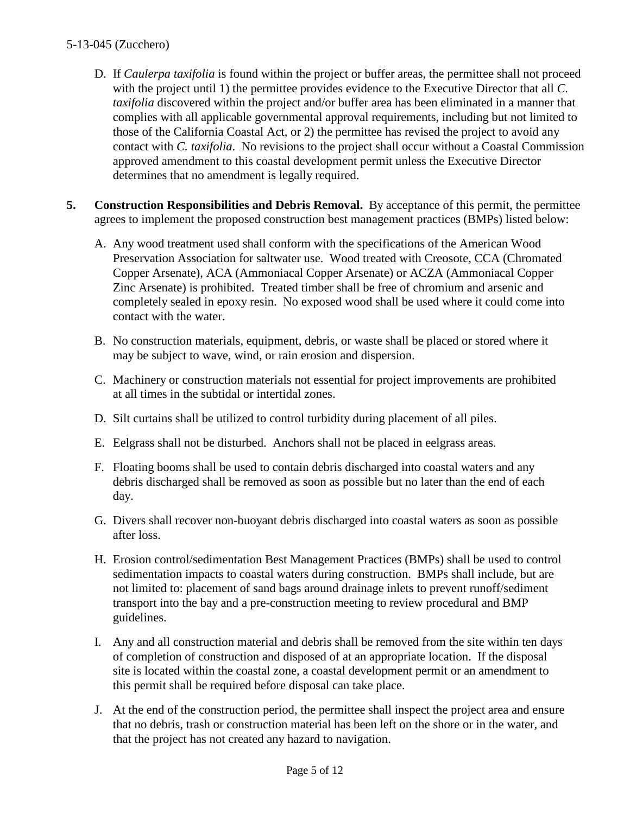- D. If *Caulerpa taxifolia* is found within the project or buffer areas, the permittee shall not proceed with the project until 1) the permittee provides evidence to the Executive Director that all *C. taxifolia* discovered within the project and/or buffer area has been eliminated in a manner that complies with all applicable governmental approval requirements, including but not limited to those of the California Coastal Act, or 2) the permittee has revised the project to avoid any contact with *C. taxifolia*. No revisions to the project shall occur without a Coastal Commission approved amendment to this coastal development permit unless the Executive Director determines that no amendment is legally required.
- **5. Construction Responsibilities and Debris Removal.** By acceptance of this permit, the permittee agrees to implement the proposed construction best management practices (BMPs) listed below:
	- A. Any wood treatment used shall conform with the specifications of the American Wood Preservation Association for saltwater use. Wood treated with Creosote, CCA (Chromated Copper Arsenate), ACA (Ammoniacal Copper Arsenate) or ACZA (Ammoniacal Copper Zinc Arsenate) is prohibited. Treated timber shall be free of chromium and arsenic and completely sealed in epoxy resin. No exposed wood shall be used where it could come into contact with the water.
	- B. No construction materials, equipment, debris, or waste shall be placed or stored where it may be subject to wave, wind, or rain erosion and dispersion.
	- C. Machinery or construction materials not essential for project improvements are prohibited at all times in the subtidal or intertidal zones.
	- D. Silt curtains shall be utilized to control turbidity during placement of all piles.
	- E. Eelgrass shall not be disturbed. Anchors shall not be placed in eelgrass areas.
	- F. Floating booms shall be used to contain debris discharged into coastal waters and any debris discharged shall be removed as soon as possible but no later than the end of each day.
	- G. Divers shall recover non-buoyant debris discharged into coastal waters as soon as possible after loss.
	- H. Erosion control/sedimentation Best Management Practices (BMPs) shall be used to control sedimentation impacts to coastal waters during construction. BMPs shall include, but are not limited to: placement of sand bags around drainage inlets to prevent runoff/sediment transport into the bay and a pre-construction meeting to review procedural and BMP guidelines.
	- I. Any and all construction material and debris shall be removed from the site within ten days of completion of construction and disposed of at an appropriate location. If the disposal site is located within the coastal zone, a coastal development permit or an amendment to this permit shall be required before disposal can take place.
	- J. At the end of the construction period, the permittee shall inspect the project area and ensure that no debris, trash or construction material has been left on the shore or in the water, and that the project has not created any hazard to navigation.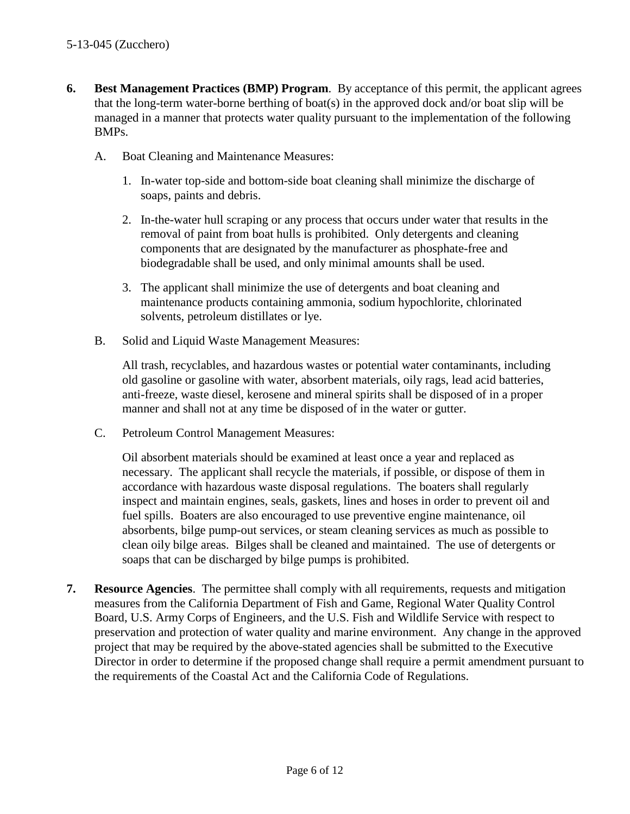- **6. Best Management Practices (BMP) Program**. By acceptance of this permit, the applicant agrees that the long-term water-borne berthing of boat(s) in the approved dock and/or boat slip will be managed in a manner that protects water quality pursuant to the implementation of the following BMPs.
	- A. Boat Cleaning and Maintenance Measures:
		- 1. In-water top-side and bottom-side boat cleaning shall minimize the discharge of soaps, paints and debris.
		- 2. In-the-water hull scraping or any process that occurs under water that results in the removal of paint from boat hulls is prohibited. Only detergents and cleaning components that are designated by the manufacturer as phosphate-free and biodegradable shall be used, and only minimal amounts shall be used.
		- 3. The applicant shall minimize the use of detergents and boat cleaning and maintenance products containing ammonia, sodium hypochlorite, chlorinated solvents, petroleum distillates or lye.
	- B. Solid and Liquid Waste Management Measures:

All trash, recyclables, and hazardous wastes or potential water contaminants, including old gasoline or gasoline with water, absorbent materials, oily rags, lead acid batteries, anti-freeze, waste diesel, kerosene and mineral spirits shall be disposed of in a proper manner and shall not at any time be disposed of in the water or gutter.

C. Petroleum Control Management Measures:

Oil absorbent materials should be examined at least once a year and replaced as necessary. The applicant shall recycle the materials, if possible, or dispose of them in accordance with hazardous waste disposal regulations. The boaters shall regularly inspect and maintain engines, seals, gaskets, lines and hoses in order to prevent oil and fuel spills. Boaters are also encouraged to use preventive engine maintenance, oil absorbents, bilge pump-out services, or steam cleaning services as much as possible to clean oily bilge areas. Bilges shall be cleaned and maintained. The use of detergents or soaps that can be discharged by bilge pumps is prohibited.

**7. Resource Agencies**. The permittee shall comply with all requirements, requests and mitigation measures from the California Department of Fish and Game, Regional Water Quality Control Board, U.S. Army Corps of Engineers, and the U.S. Fish and Wildlife Service with respect to preservation and protection of water quality and marine environment. Any change in the approved project that may be required by the above-stated agencies shall be submitted to the Executive Director in order to determine if the proposed change shall require a permit amendment pursuant to the requirements of the Coastal Act and the California Code of Regulations.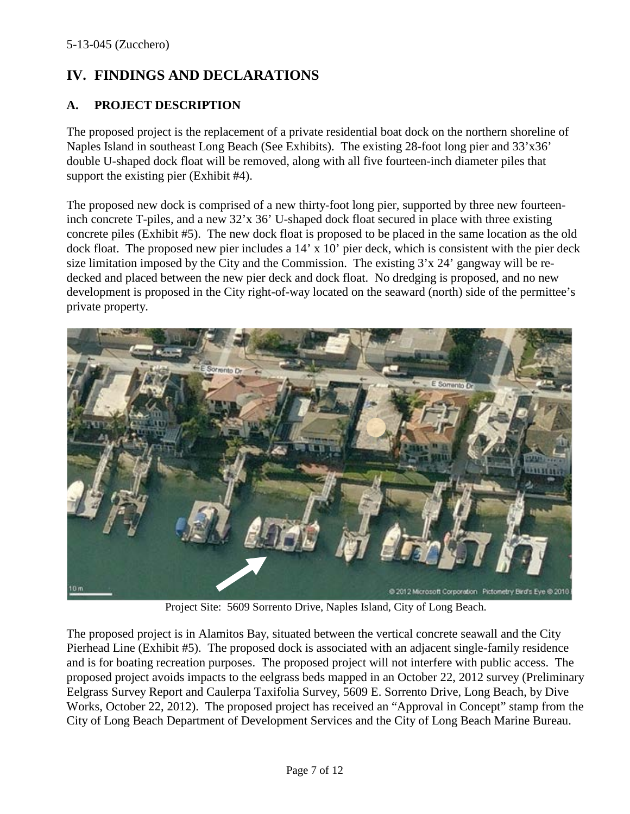# **IV. FINDINGS AND DECLARATIONS**

## **A. PROJECT DESCRIPTION**

The proposed project is the replacement of a private residential boat dock on the northern shoreline of Naples Island in southeast Long Beach (See Exhibits). The existing 28-foot long pier and 33'x36' double U-shaped dock float will be removed, along with all five fourteen-inch diameter piles that support the existing pier (Exhibit #4).

The proposed new dock is comprised of a new thirty-foot long pier, supported by three new fourteeninch concrete T-piles, and a new 32'x 36' U-shaped dock float secured in place with three existing concrete piles (Exhibit #5). The new dock float is proposed to be placed in the same location as the old dock float. The proposed new pier includes a 14' x 10' pier deck, which is consistent with the pier deck size limitation imposed by the City and the Commission. The existing 3'x 24' gangway will be redecked and placed between the new pier deck and dock float. No dredging is proposed, and no new development is proposed in the City right-of-way located on the seaward (north) side of the permittee's private property.



Project Site: 5609 Sorrento Drive, Naples Island, City of Long Beach.

The proposed project is in Alamitos Bay, situated between the vertical concrete seawall and the City Pierhead Line (Exhibit #5). The proposed dock is associated with an adjacent single-family residence and is for boating recreation purposes. The proposed project will not interfere with public access. The proposed project avoids impacts to the eelgrass beds mapped in an October 22, 2012 survey (Preliminary Eelgrass Survey Report and Caulerpa Taxifolia Survey, 5609 E. Sorrento Drive, Long Beach, by Dive Works, October 22, 2012). The proposed project has received an "Approval in Concept" stamp from the City of Long Beach Department of Development Services and the City of Long Beach Marine Bureau.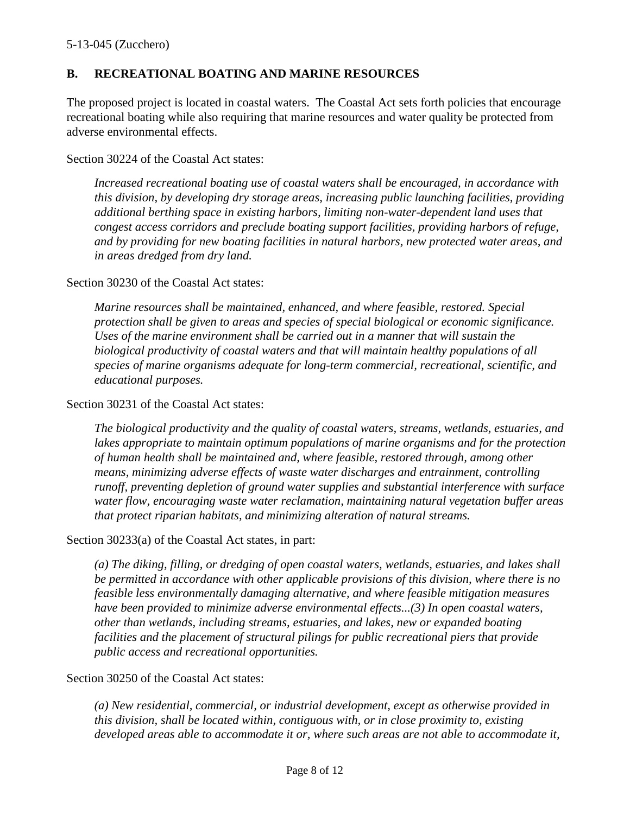## **B. RECREATIONAL BOATING AND MARINE RESOURCES**

The proposed project is located in coastal waters. The Coastal Act sets forth policies that encourage recreational boating while also requiring that marine resources and water quality be protected from adverse environmental effects.

#### Section 30224 of the Coastal Act states:

*Increased recreational boating use of coastal waters shall be encouraged, in accordance with this division, by developing dry storage areas, increasing public launching facilities, providing additional berthing space in existing harbors, limiting non-water-dependent land uses that congest access corridors and preclude boating support facilities, providing harbors of refuge, and by providing for new boating facilities in natural harbors, new protected water areas, and in areas dredged from dry land.*

#### Section 30230 of the Coastal Act states:

*Marine resources shall be maintained, enhanced, and where feasible, restored. Special protection shall be given to areas and species of special biological or economic significance. Uses of the marine environment shall be carried out in a manner that will sustain the biological productivity of coastal waters and that will maintain healthy populations of all species of marine organisms adequate for long-term commercial, recreational, scientific, and educational purposes.*

#### Section 30231 of the Coastal Act states:

*The biological productivity and the quality of coastal waters, streams, wetlands, estuaries, and*  lakes appropriate to maintain optimum populations of marine organisms and for the protection *of human health shall be maintained and, where feasible, restored through, among other means, minimizing adverse effects of waste water discharges and entrainment, controlling runoff, preventing depletion of ground water supplies and substantial interference with surface water flow, encouraging waste water reclamation, maintaining natural vegetation buffer areas that protect riparian habitats, and minimizing alteration of natural streams.*

#### Section 30233(a) of the Coastal Act states, in part:

*(a) The diking, filling, or dredging of open coastal waters, wetlands, estuaries, and lakes shall be permitted in accordance with other applicable provisions of this division, where there is no feasible less environmentally damaging alternative, and where feasible mitigation measures have been provided to minimize adverse environmental effects...(3) In open coastal waters, other than wetlands, including streams, estuaries, and lakes, new or expanded boating facilities and the placement of structural pilings for public recreational piers that provide public access and recreational opportunities.*

#### Section 30250 of the Coastal Act states:

*(a) New residential, commercial, or industrial development, except as otherwise provided in this division, shall be located within, contiguous with, or in close proximity to, existing developed areas able to accommodate it or, where such areas are not able to accommodate it,*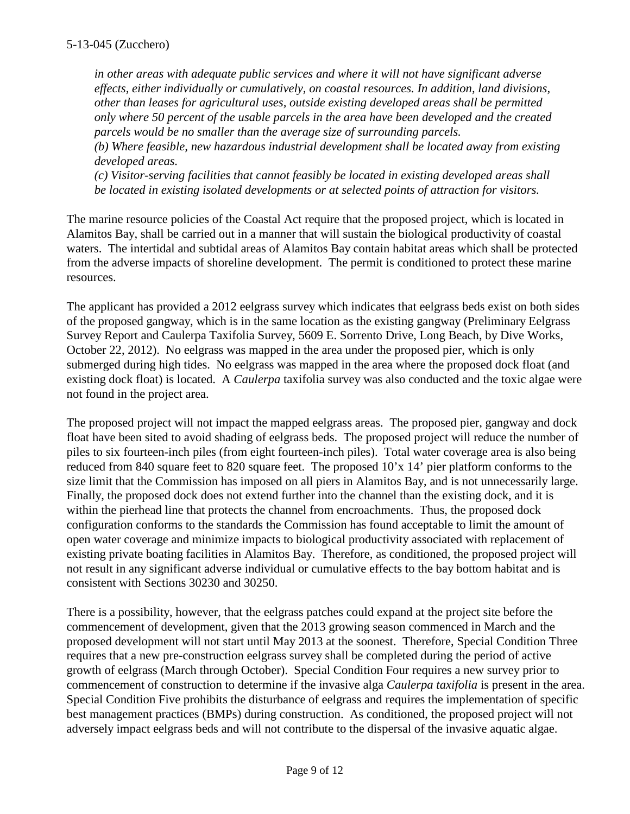*in other areas with adequate public services and where it will not have significant adverse effects, either individually or cumulatively, on coastal resources. In addition, land divisions, other than leases for agricultural uses, outside existing developed areas shall be permitted only where 50 percent of the usable parcels in the area have been developed and the created parcels would be no smaller than the average size of surrounding parcels.*

*(b) Where feasible, new hazardous industrial development shall be located away from existing developed areas.*

*(c) Visitor-serving facilities that cannot feasibly be located in existing developed areas shall be located in existing isolated developments or at selected points of attraction for visitors.*

The marine resource policies of the Coastal Act require that the proposed project, which is located in Alamitos Bay, shall be carried out in a manner that will sustain the biological productivity of coastal waters. The intertidal and subtidal areas of Alamitos Bay contain habitat areas which shall be protected from the adverse impacts of shoreline development. The permit is conditioned to protect these marine resources.

The applicant has provided a 2012 eelgrass survey which indicates that eelgrass beds exist on both sides of the proposed gangway, which is in the same location as the existing gangway (Preliminary Eelgrass Survey Report and Caulerpa Taxifolia Survey, 5609 E. Sorrento Drive, Long Beach, by Dive Works, October 22, 2012). No eelgrass was mapped in the area under the proposed pier, which is only submerged during high tides. No eelgrass was mapped in the area where the proposed dock float (and existing dock float) is located. A *Caulerpa* taxifolia survey was also conducted and the toxic algae were not found in the project area.

The proposed project will not impact the mapped eelgrass areas. The proposed pier, gangway and dock float have been sited to avoid shading of eelgrass beds. The proposed project will reduce the number of piles to six fourteen-inch piles (from eight fourteen-inch piles). Total water coverage area is also being reduced from 840 square feet to 820 square feet. The proposed 10'x 14' pier platform conforms to the size limit that the Commission has imposed on all piers in Alamitos Bay, and is not unnecessarily large. Finally, the proposed dock does not extend further into the channel than the existing dock, and it is within the pierhead line that protects the channel from encroachments. Thus, the proposed dock configuration conforms to the standards the Commission has found acceptable to limit the amount of open water coverage and minimize impacts to biological productivity associated with replacement of existing private boating facilities in Alamitos Bay. Therefore, as conditioned, the proposed project will not result in any significant adverse individual or cumulative effects to the bay bottom habitat and is consistent with Sections 30230 and 30250.

There is a possibility, however, that the eelgrass patches could expand at the project site before the commencement of development, given that the 2013 growing season commenced in March and the proposed development will not start until May 2013 at the soonest. Therefore, Special Condition Three requires that a new pre-construction eelgrass survey shall be completed during the period of active growth of eelgrass (March through October). Special Condition Four requires a new survey prior to commencement of construction to determine if the invasive alga *Caulerpa taxifolia* is present in the area. Special Condition Five prohibits the disturbance of eelgrass and requires the implementation of specific best management practices (BMPs) during construction. As conditioned, the proposed project will not adversely impact eelgrass beds and will not contribute to the dispersal of the invasive aquatic algae.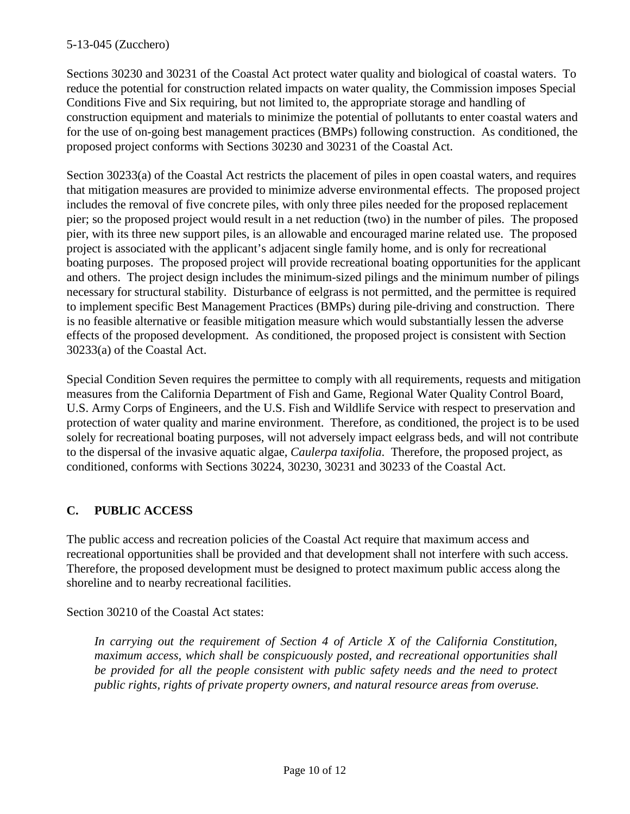Sections 30230 and 30231 of the Coastal Act protect water quality and biological of coastal waters. To reduce the potential for construction related impacts on water quality, the Commission imposes Special Conditions Five and Six requiring, but not limited to, the appropriate storage and handling of construction equipment and materials to minimize the potential of pollutants to enter coastal waters and for the use of on-going best management practices (BMPs) following construction. As conditioned, the proposed project conforms with Sections 30230 and 30231 of the Coastal Act.

Section 30233(a) of the Coastal Act restricts the placement of piles in open coastal waters, and requires that mitigation measures are provided to minimize adverse environmental effects. The proposed project includes the removal of five concrete piles, with only three piles needed for the proposed replacement pier; so the proposed project would result in a net reduction (two) in the number of piles. The proposed pier, with its three new support piles, is an allowable and encouraged marine related use. The proposed project is associated with the applicant's adjacent single family home, and is only for recreational boating purposes. The proposed project will provide recreational boating opportunities for the applicant and others. The project design includes the minimum-sized pilings and the minimum number of pilings necessary for structural stability. Disturbance of eelgrass is not permitted, and the permittee is required to implement specific Best Management Practices (BMPs) during pile-driving and construction. There is no feasible alternative or feasible mitigation measure which would substantially lessen the adverse effects of the proposed development. As conditioned, the proposed project is consistent with Section 30233(a) of the Coastal Act.

Special Condition Seven requires the permittee to comply with all requirements, requests and mitigation measures from the California Department of Fish and Game, Regional Water Quality Control Board, U.S. Army Corps of Engineers, and the U.S. Fish and Wildlife Service with respect to preservation and protection of water quality and marine environment. Therefore, as conditioned, the project is to be used solely for recreational boating purposes, will not adversely impact eelgrass beds, and will not contribute to the dispersal of the invasive aquatic algae, *Caulerpa taxifolia*. Therefore, the proposed project, as conditioned, conforms with Sections 30224, 30230, 30231 and 30233 of the Coastal Act.

# **C. PUBLIC ACCESS**

The public access and recreation policies of the Coastal Act require that maximum access and recreational opportunities shall be provided and that development shall not interfere with such access. Therefore, the proposed development must be designed to protect maximum public access along the shoreline and to nearby recreational facilities.

Section 30210 of the Coastal Act states:

*In carrying out the requirement of Section 4 of Article X of the California Constitution, maximum access, which shall be conspicuously posted, and recreational opportunities shall*  be provided for all the people consistent with public safety needs and the need to protect *public rights, rights of private property owners, and natural resource areas from overuse.*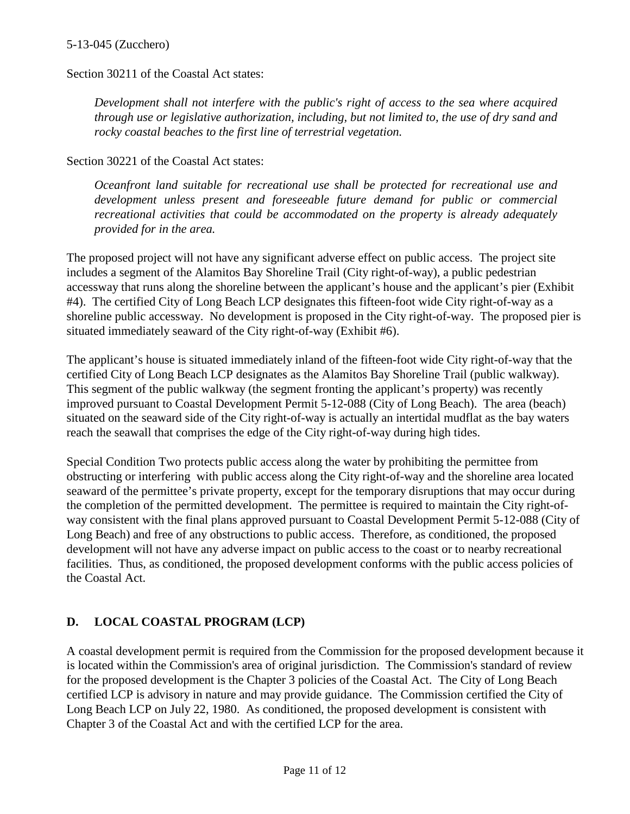Section 30211 of the Coastal Act states:

*Development shall not interfere with the public's right of access to the sea where acquired through use or legislative authorization, including, but not limited to, the use of dry sand and rocky coastal beaches to the first line of terrestrial vegetation.*

Section 30221 of the Coastal Act states:

*Oceanfront land suitable for recreational use shall be protected for recreational use and development unless present and foreseeable future demand for public or commercial recreational activities that could be accommodated on the property is already adequately provided for in the area.*

The proposed project will not have any significant adverse effect on public access. The project site includes a segment of the Alamitos Bay Shoreline Trail (City right-of-way), a public pedestrian accessway that runs along the shoreline between the applicant's house and the applicant's pier (Exhibit #4). The certified City of Long Beach LCP designates this fifteen-foot wide City right-of-way as a shoreline public accessway. No development is proposed in the City right-of-way. The proposed pier is situated immediately seaward of the City right-of-way (Exhibit #6).

The applicant's house is situated immediately inland of the fifteen-foot wide City right-of-way that the certified City of Long Beach LCP designates as the Alamitos Bay Shoreline Trail (public walkway). This segment of the public walkway (the segment fronting the applicant's property) was recently improved pursuant to Coastal Development Permit 5-12-088 (City of Long Beach). The area (beach) situated on the seaward side of the City right-of-way is actually an intertidal mudflat as the bay waters reach the seawall that comprises the edge of the City right-of-way during high tides.

Special Condition Two protects public access along the water by prohibiting the permittee from obstructing or interfering with public access along the City right-of-way and the shoreline area located seaward of the permittee's private property, except for the temporary disruptions that may occur during the completion of the permitted development. The permittee is required to maintain the City right-ofway consistent with the final plans approved pursuant to Coastal Development Permit 5-12-088 (City of Long Beach) and free of any obstructions to public access. Therefore, as conditioned, the proposed development will not have any adverse impact on public access to the coast or to nearby recreational facilities. Thus, as conditioned, the proposed development conforms with the public access policies of the Coastal Act.

# **D. LOCAL COASTAL PROGRAM (LCP)**

A coastal development permit is required from the Commission for the proposed development because it is located within the Commission's area of original jurisdiction. The Commission's standard of review for the proposed development is the Chapter 3 policies of the Coastal Act. The City of Long Beach certified LCP is advisory in nature and may provide guidance. The Commission certified the City of Long Beach LCP on July 22, 1980. As conditioned, the proposed development is consistent with Chapter 3 of the Coastal Act and with the certified LCP for the area.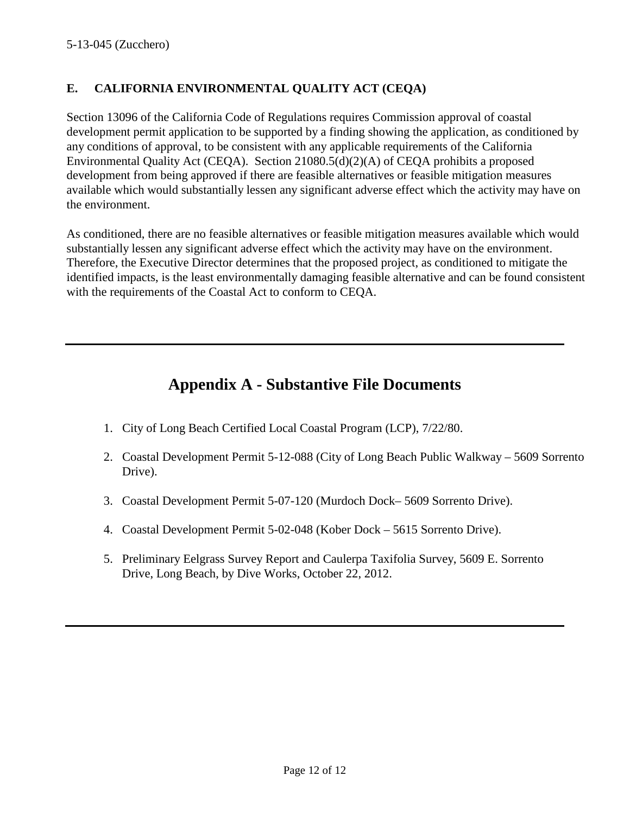# **E. CALIFORNIA ENVIRONMENTAL QUALITY ACT (CEQA)**

Section 13096 of the California Code of Regulations requires Commission approval of coastal development permit application to be supported by a finding showing the application, as conditioned by any conditions of approval, to be consistent with any applicable requirements of the California Environmental Quality Act (CEQA). Section 21080.5(d)(2)(A) of CEQA prohibits a proposed development from being approved if there are feasible alternatives or feasible mitigation measures available which would substantially lessen any significant adverse effect which the activity may have on the environment.

As conditioned, there are no feasible alternatives or feasible mitigation measures available which would substantially lessen any significant adverse effect which the activity may have on the environment. Therefore, the Executive Director determines that the proposed project, as conditioned to mitigate the identified impacts, is the least environmentally damaging feasible alternative and can be found consistent with the requirements of the Coastal Act to conform to CEQA.

# **Appendix A - Substantive File Documents**

- 1. City of Long Beach Certified Local Coastal Program (LCP), 7/22/80.
- 2. Coastal Development Permit 5-12-088 (City of Long Beach Public Walkway 5609 Sorrento Drive).
- 3. Coastal Development Permit 5-07-120 (Murdoch Dock– 5609 Sorrento Drive).
- 4. Coastal Development Permit 5-02-048 (Kober Dock 5615 Sorrento Drive).
- 5. Preliminary Eelgrass Survey Report and Caulerpa Taxifolia Survey, 5609 E. Sorrento Drive, Long Beach, by Dive Works, October 22, 2012.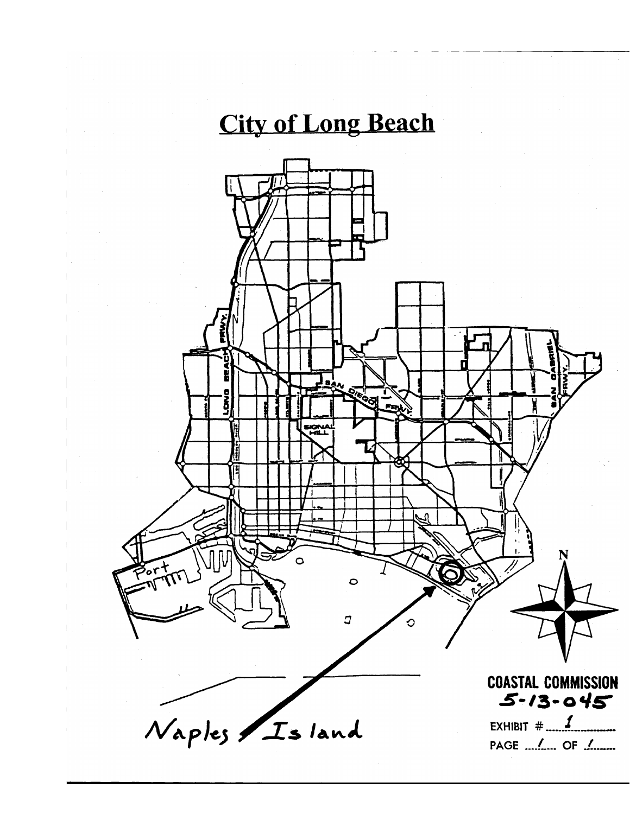# **City of Long Beach**

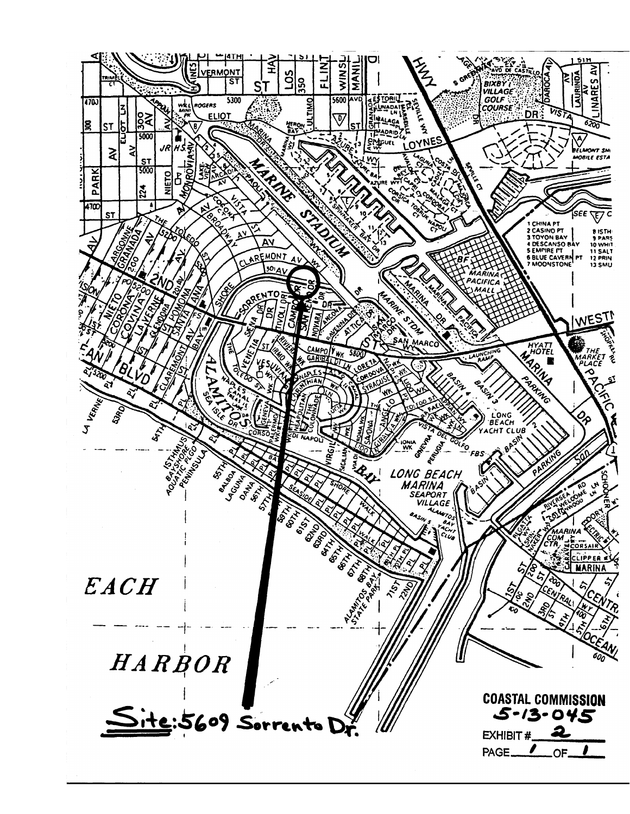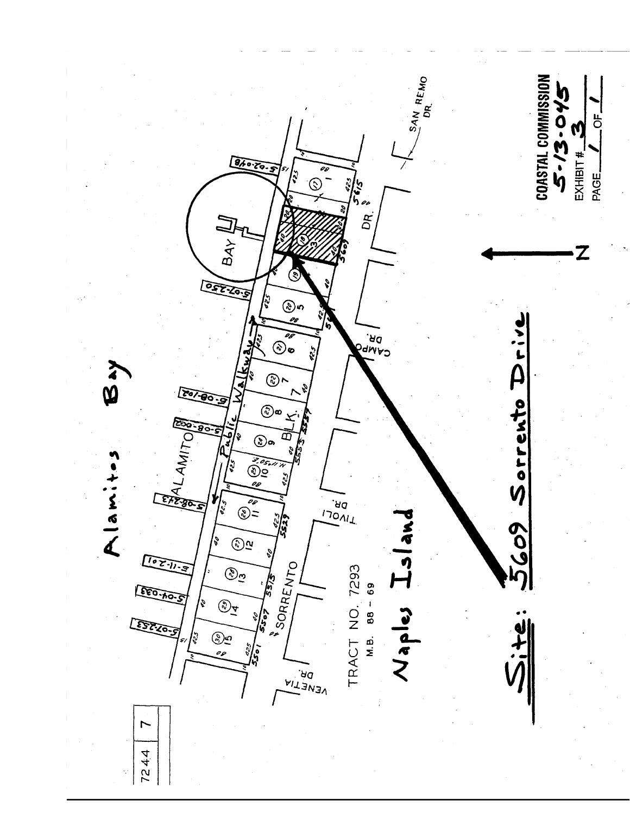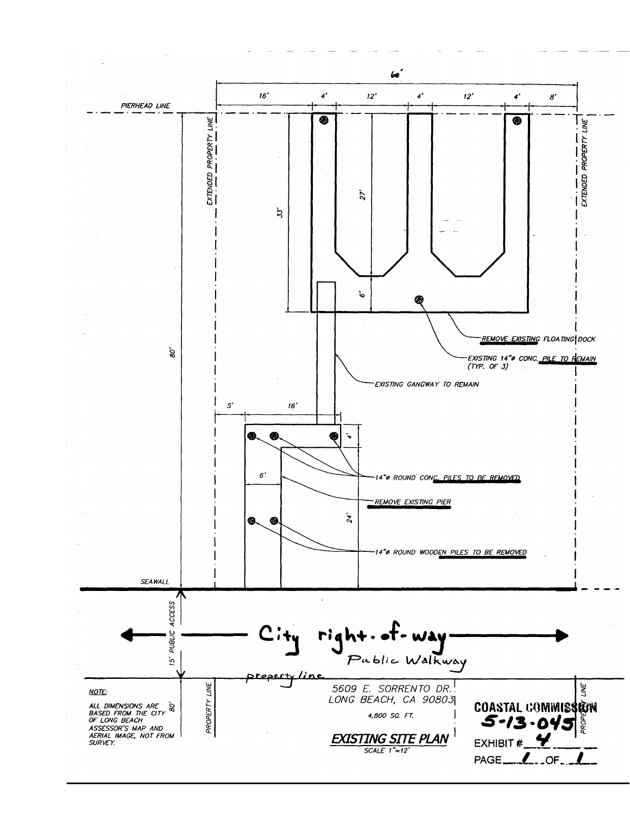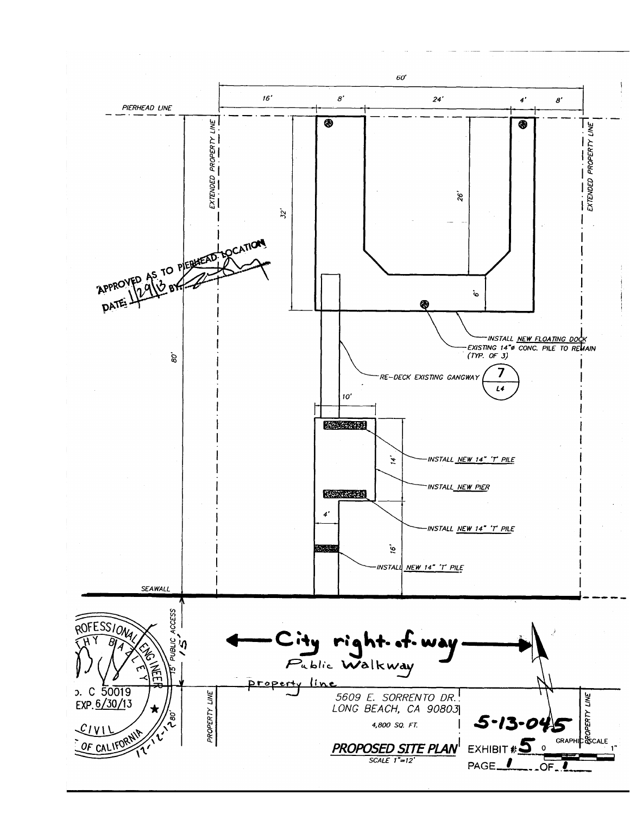